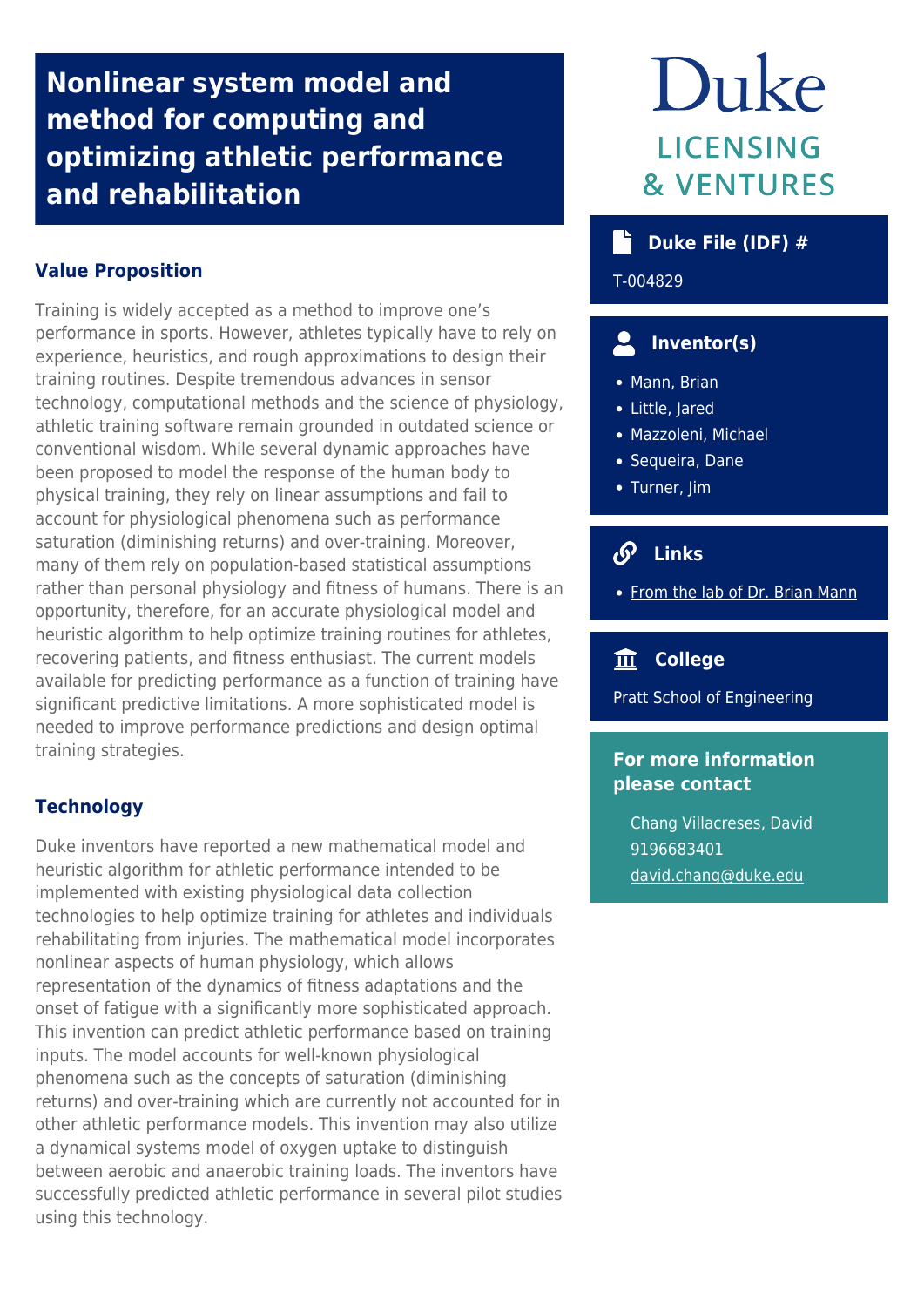## **Nonlinear system model and method for computing and optimizing athletic performance and rehabilitation**

### **Value Proposition**

Training is widely accepted as a method to improve one's performance in sports. However, athletes typically have to rely on experience, heuristics, and rough approximations to design their training routines. Despite tremendous advances in sensor technology, computational methods and the science of physiology, athletic training software remain grounded in outdated science or conventional wisdom. While several dynamic approaches have been proposed to model the response of the human body to physical training, they rely on linear assumptions and fail to account for physiological phenomena such as performance saturation (diminishing returns) and over-training. Moreover, many of them rely on population-based statistical assumptions rather than personal physiology and fitness of humans. There is an opportunity, therefore, for an accurate physiological model and heuristic algorithm to help optimize training routines for athletes, recovering patients, and fitness enthusiast. The current models available for predicting performance as a function of training have significant predictive limitations. A more sophisticated model is needed to improve performance predictions and design optimal training strategies.

#### **Technology**

Duke inventors have reported a new mathematical model and heuristic algorithm for athletic performance intended to be implemented with existing physiological data collection technologies to help optimize training for athletes and individuals rehabilitating from injuries. The mathematical model incorporates nonlinear aspects of human physiology, which allows representation of the dynamics of fitness adaptations and the onset of fatigue with a significantly more sophisticated approach. This invention can predict athletic performance based on training inputs. The model accounts for well-known physiological phenomena such as the concepts of saturation (diminishing returns) and over-training which are currently not accounted for in other athletic performance models. This invention may also utilize a dynamical systems model of oxygen uptake to distinguish between aerobic and anaerobic training loads. The inventors have successfully predicted athletic performance in several pilot studies using this technology.

# Duke **LICENSING & VENTURES**

## **buke File (IDF)** #

T-004829

## **Inventor(s)**

- Mann, Brian
- Little, Jared
- Mazzoleni, Michael
- Sequeira, Dane
- Turner, Jim

## **Links**

• [From the lab of Dr. Brian Mann](https://mems.duke.edu/faculty/brian-mann)

## **College**

Pratt School of Engineering

#### **For more information please contact**

Chang Villacreses, David 9196683401 [david.chang@duke.edu](mailto:david.chang@duke.edu)